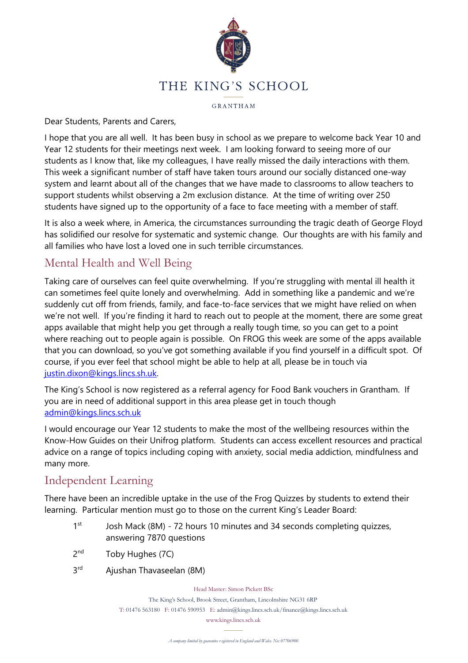

GRANTHAM

Dear Students, Parents and Carers,

I hope that you are all well. It has been busy in school as we prepare to welcome back Year 10 and Year 12 students for their meetings next week. I am looking forward to seeing more of our students as I know that, like my colleagues, I have really missed the daily interactions with them. This week a significant number of staff have taken tours around our socially distanced one-way system and learnt about all of the changes that we have made to classrooms to allow teachers to support students whilst observing a 2m exclusion distance. At the time of writing over 250 students have signed up to the opportunity of a face to face meeting with a member of staff.

It is also a week where, in America, the circumstances surrounding the tragic death of George Floyd has solidified our resolve for systematic and systemic change. Our thoughts are with his family and all families who have lost a loved one in such terrible circumstances.

# Mental Health and Well Being

Taking care of ourselves can feel quite overwhelming. If you're struggling with mental ill health it can sometimes feel quite lonely and overwhelming. Add in something like a pandemic and we're suddenly cut off from friends, family, and face-to-face services that we might have relied on when we're not well. If you're finding it hard to reach out to people at the moment, there are some great apps available that might help you get through a really tough time, so you can get to a point where reaching out to people again is possible. On FROG this week are some of the apps available that you can download, so you've got something available if you find yourself in a difficult spot. Of course, if you ever feel that school might be able to help at all, please be in touch via [justin.dixon@kings.lincs.sh.uk.](mailto:justin.dixon@kings.lincs.sh.uk?subject=Menal%20Health)

The King's School is now registered as a referral agency for Food Bank vouchers in Grantham. If you are in need of additional support in this area please get in touch though [admin@kings.lincs.sch.uk](mailto:admin@kings.lincs.sch.uk?subject=Food%20Bank)

I would encourage our Year 12 students to make the most of the wellbeing resources within the Know-How Guides on their Unifrog platform. Students can access excellent resources and practical advice on a range of topics including coping with anxiety, social media addiction, mindfulness and many more.

# Independent Learning

There have been an incredible uptake in the use of the Frog Quizzes by students to extend their learning. Particular mention must go to those on the current King's Leader Board:

- 1st Josh Mack (8M) - 72 hours 10 minutes and 34 seconds completing quizzes, answering 7870 questions
- $2<sub>nd</sub>$ Toby Hughes (7C)
- $3<sup>rd</sup>$ Ajushan Thavaseelan (8M)

Head Master: Simon Pickett BSc

The King's School, Brook Street, Grantham, Lincolnshire NG31 6RP T: 01476 563180 F: 01476 590953 E: admin@kings.lincs.sch.uk/finance@kings.lincs.sch.uk

www.kings.lincs.sch.uk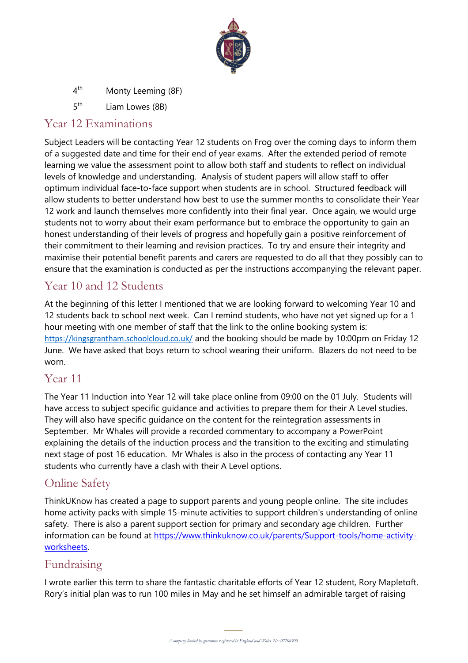

- $4<sup>th</sup>$ Monty Leeming (8F)
- $5<sup>th</sup>$ Liam Lowes (8B)

#### Year 12 Examinations

Subject Leaders will be contacting Year 12 students on Frog over the coming days to inform them of a suggested date and time for their end of year exams. After the extended period of remote learning we value the assessment point to allow both staff and students to reflect on individual levels of knowledge and understanding. Analysis of student papers will allow staff to offer optimum individual face-to-face support when students are in school. Structured feedback will allow students to better understand how best to use the summer months to consolidate their Year 12 work and launch themselves more confidently into their final year. Once again, we would urge students not to worry about their exam performance but to embrace the opportunity to gain an honest understanding of their levels of progress and hopefully gain a positive reinforcement of their commitment to their learning and revision practices. To try and ensure their integrity and maximise their potential benefit parents and carers are requested to do all that they possibly can to ensure that the examination is conducted as per the instructions accompanying the relevant paper.

### Year 10 and 12 Students

At the beginning of this letter I mentioned that we are looking forward to welcoming Year 10 and 12 students back to school next week. Can I remind students, who have not yet signed up for a 1 hour meeting with one member of staff that the link to the online booking system is: <https://kingsgrantham.schoolcloud.co.uk/> and the booking should be made by 10:00pm on Friday 12 June. We have asked that boys return to school wearing their uniform. Blazers do not need to be worn.

#### Year 11

The Year 11 Induction into Year 12 will take place online from 09:00 on the 01 July. Students will have access to subject specific guidance and activities to prepare them for their A Level studies. They will also have specific guidance on the content for the reintegration assessments in September. Mr Whales will provide a recorded commentary to accompany a PowerPoint explaining the details of the induction process and the transition to the exciting and stimulating next stage of post 16 education. Mr Whales is also in the process of contacting any Year 11 students who currently have a clash with their A Level options.

## Online Safety

ThinkUKnow has created a page to support parents and young people online. The site includes home activity packs with simple 15-minute activities to support children's understanding of online safety. There is also a parent support section for primary and secondary age children. Further information can be found at [https://www.thinkuknow.co.uk/parents/Support-tools/home-activity](https://www.thinkuknow.co.uk/parents/Support-tools/home-activity-worksheets)[worksheets.](https://www.thinkuknow.co.uk/parents/Support-tools/home-activity-worksheets)

### Fundraising

Rory's initial plan was to run 100 miles in May and he set himself an admirable target of raising  $T$ I wrote earlier this term to share the fantastic charitable efforts of Year 12 student, Rory Mapletoft.